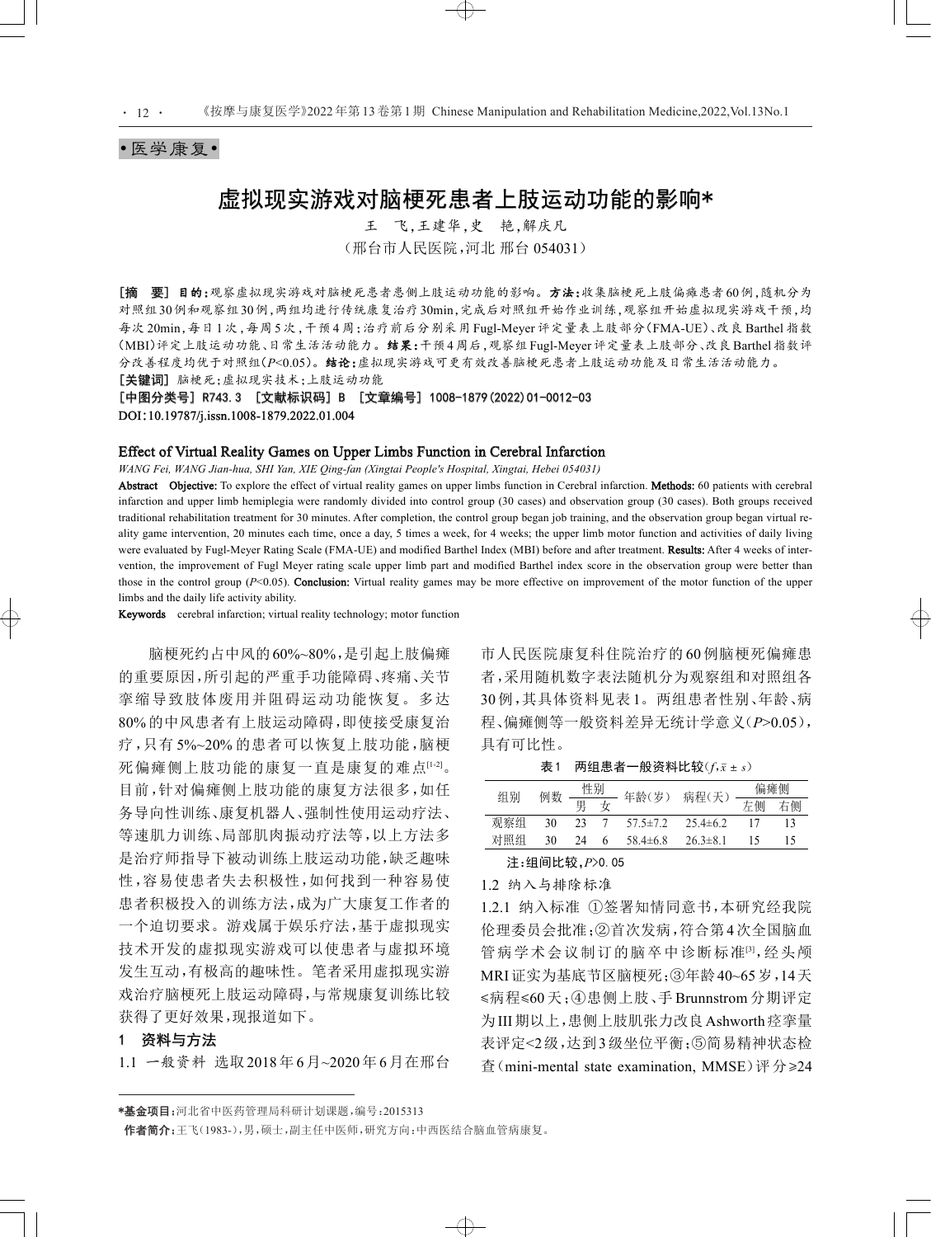#### •医学康复•

 $\cdot$  12  $\cdot$ 

# 虚拟现实游戏对脑梗死患者上肢运动功能的影响\*

王 飞,王建华,史 艳,解庆凡 (邢台市人民医院,河北 邢台 054031)

[摘 要] 目的:观察虚拟现实游戏对脑梗死患者患侧上肢运动功能的影响。方法:收集脑梗死上肢偏瘫患者60例,随机分为 对照组30例和观察组30例,两组均进行传统康复治疗30min,完成后对照组开始作业训练,观察组开始虚拟现实游戏干预,均 每次 20min,每日 1 次,每周 5 次,干预 4 周;治疗前后分别采用 Fugl-Meyer 评定量表上肢部分(FMA-UE)、改良 Barthel 指数 (MBI[\)评定上肢运动功能、日常生活活动能力。结果:干预](#page-1-0)4周后,观察组Fugl-Meyer评定量表上肢部分、改良Barthel指数评 分改善程度均优于对照组(*P*<0.05)。结论:虚拟现实游戏可更有效改善脑梗死患者上肢运动功能及日常生活活动能力。 [关键词] 脑梗死;虚拟现实技术;上肢运动功能

[中图分类号] R743.3 [文献标识码] B [文章编号] 1008-1879(2022)01-0012-03 DOI:10.19787/j.issn.1008-1879.2022.01.004

#### Effect of Virtual Reality Games on Upper Limbs Function in Cerebral Infarction

*WANG Fei, WANG Jian-hua, SHI Yan, XIE Qing-fan (Xingtai People's Hospital, Xingtai, Hebei 054031)*

Abstract Objective: To explore the effect of virtual reality games on upper limbs function in Cerebral infarction. Methods: 60 patients with cerebral infarction and upper limb hemiplegia were randomly divided into control group (30 cases) and observation group (30 cases). Both groups received traditional rehabilitation treatment for 30 minutes. After completion, the control group began job training, and the observation group began virtual reality game intervention, 20 minutes each time, once a day, 5 times a week, for 4 weeks; the upper limb motor function and activities of daily living were evaluated by Fugl-Meyer Rating Scale (FMA-UE) and modified Barthel Index (MBI) before and after treatment. Results: After 4 weeks of intervention, the improvement of Fugl Meyer rating scale upper limb part and modified Barthel index score in the observation group were better than those in the control group (*P*<0.05). Conclusion: Virtual reality games may be more effective on improvement of the motor function of the upper limbs and the daily life activity ability.

 $\oplus$ 

Keywords cerebral infarction; virtual reality technology; motor function

脑梗死约占中风的60%~80%,是引起上肢偏瘫 的重要原因,所引起的严重手功能障碍、疼痛、关节 挛缩导致肢体废用并阻碍运动功能恢复。多达 80% 的中风患者有上肢运动障碍,即使接受康复治 疗,只有 5%~20% 的患者可以恢复上肢功能,脑梗 死偏瘫侧上肢功能的康复一直是康复的难点[1-2]。 目前,针对偏瘫侧上肢功能的康复方法很多,如任 务导向性训练、康复机器人、强制性使用运动疗法、 等速肌力训练、局部肌肉振动疗法等,以上方法多 是治疗师指导下被动训练上肢运动功能,缺乏趣味 性,容易使患者失去积极性,如何找到一种容易使 患者积极投入的训练方法,成为广大康复工作者的 一个迫切要求。游戏属于娱乐疗法,基于虚拟现实 技术开发的虚拟现实游戏可以使患者与虚拟环境 发生互动,有极高的趣味性。笔者采用虚拟现实游 戏治疗脑梗死上肢运动障碍,与常规康复训练比较 获得了更好效果,现报道如下。

### 1 资料与方法

1.1 一般资料 选取2018年6月~2020年6月在邢台

市人民医院康复科住院治疗的 60 例脑梗死偏瘫患 者,采用随机数字表法随机分为观察组和对照组各 30 例,其具体资料见表 1。两组患者性别、年龄、病 程、偏瘫侧等一般资料差异无统计学意义(*P*>0.05), 具有可比性。

 $#1$  两组患者一般资料比较 $(f,\bar{x} \pm s)$ 

| 组别  | 例数 | 性别 |   |                |                | 偏瘫侧 |    |
|-----|----|----|---|----------------|----------------|-----|----|
|     |    | 男  |   | 年龄(岁)          | 病程(天)          | 左侧  | 右侧 |
| 观察组 | 30 | 23 |   | $57.5 \pm 7.2$ | $25.4 \pm 6.2$ |     | 13 |
| 对照组 | 30 | 24 | 6 | $58.4 \pm 6.8$ | $26.3 \pm 8.1$ |     |    |

## 注:组间比较,*P*>0.05

1.2 纳入与排除标准

1.2.1 纳入标准 ①签署知情同意书,本研究经我院 伦理委员会批准;②首次发病,符合第4次全国脑血 管病学术会议制订的脑卒中诊断标准[3],经头颅 MRI证实为基底节区脑梗死;③年龄40~65岁,14天 ≤病程≤60 天;④患侧上肢、手 Brunnstrom 分期评定 为III期以上,患侧上肢肌张力改良Ashworth痉挛量 表评定<2级,达到3级坐位平衡;⑤简易精神状态检 查(mini-mental state examination, MMSE)评分≥24

<sup>\*</sup>基金项目:河北省中医药管理局科研计划课题,编号:2015313

作者简介:王飞(1983-),男,硕士,副主任中医师,研究方向:中西医结合脑血管病康复。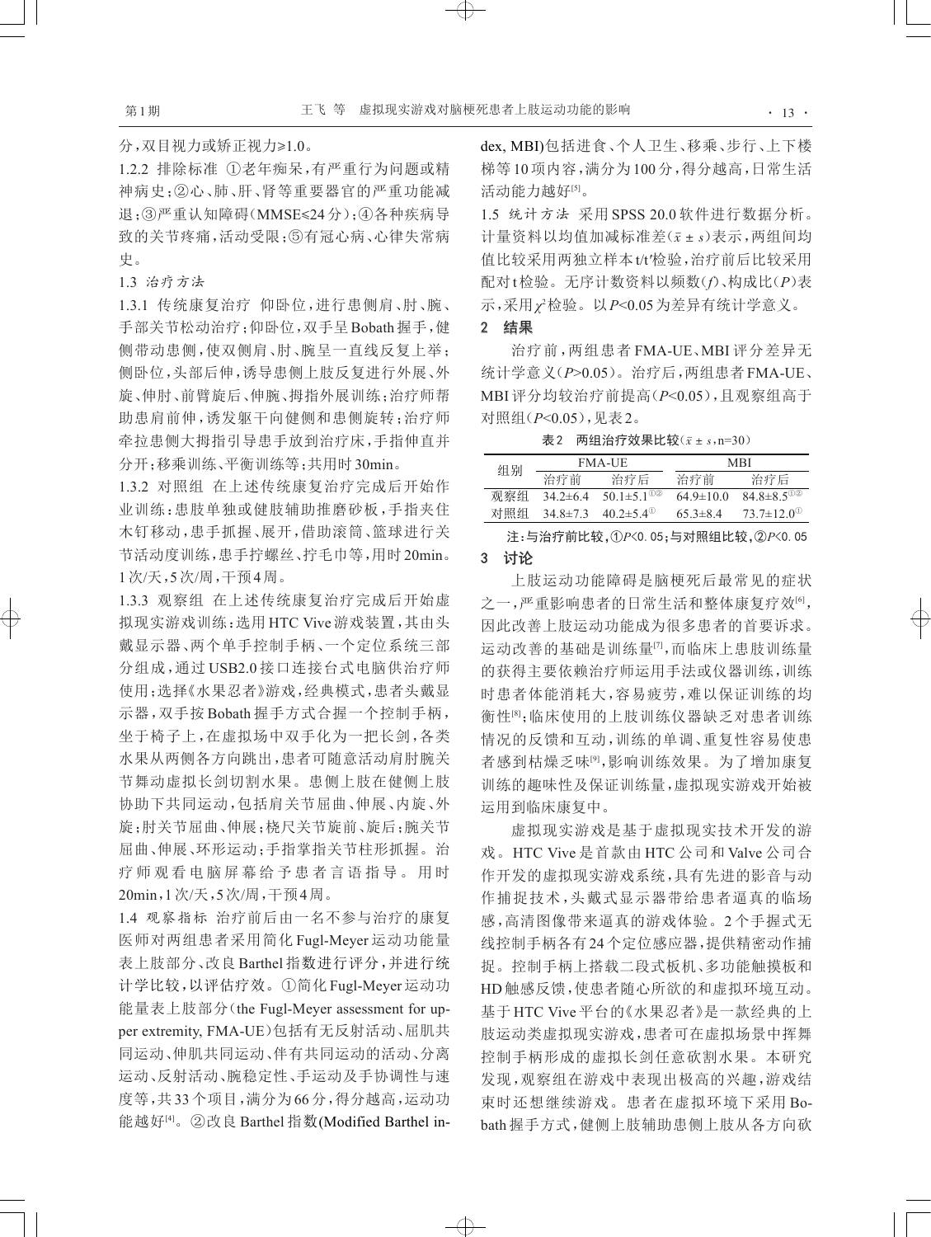分,双目视力或矫正视力≥1.0。

<span id="page-1-0"></span>1.2.2 排除标准 ①老年痴呆,有严重行为问题或精 神病史;②心、肺、肝、肾等重要器官的严重功能减 退;③严重认知障碍(MMSE≤24分);④各种疾病导 致的关节疼痛,活动受限;⑤有冠心病、心律失常病 史。

#### 1.3 治疗方法

1.3.1 传统康复治疗 仰卧位,进行患侧肩、肘、腕、 手部关节松动治疗;仰卧位,双手呈Bobath握手,健 侧带动患侧,使双侧肩、肘、腕呈一直线反复上举; 侧卧位,头部后伸,诱导患侧上肢反复进行外展、外 旋、伸肘、前臂旋后、伸腕、拇指外展训练;治疗师帮 助患肩前伸,诱发躯干向健侧和患侧旋转;治疗师 牵拉患侧大拇指引导患手放到治疗床,手指伸直并 分开;移乘训练、平衡训练等;共用时30min。

1.3.2 对照组 在上述传统康复治疗完成后开始作 业训练:患肢单独或健肢辅助推磨砂板,手指夹住 木钉移动,患手抓握、展开,借助滚筒、篮球进行关 节活动度训练,患手拧螺丝、拧毛巾等,用时20min。 1次/天,5次/周,干预4周。

1.3.3 观察组 在上述传统康复治疗完成后开始虚 拟现实游戏训练:选用 HTC Vive 游戏装置,其由头 戴显示器、两个单手控制手柄、一个定位系统三部 分组成,通过 USB2.0 接口连接台式电脑供治疗师 使用;选择《水果忍者》游戏,经典模式,患者头戴显 示器,双手按 Bobath 握手方式合握一个控制手柄, 坐于椅子上,在虚拟场中双手化为一把长剑,各类 水果从两侧各方向跳出,患者可随意活动肩肘腕关 节舞动虚拟长剑切割水果。患侧上肢在健侧上肢 协助下共同运动,包括肩关节屈曲、伸展、内旋、外 旋;肘关节屈曲、伸展;桡尺关节旋前、旋后;腕关节 屈曲、伸展、环形运动;手指掌指关节柱形抓握。治 疗 师 观 看 电 脑 屏 幕 给 予 患 者 言 语 指 导 。 用 时 20min,1次/天,5次/周,干预4周。

1.4 观察指标 治疗前后由一名不参与治疗的康复 医师对两组患者采用简化 Fugl-Meyer 运动功能量 表上肢部分、改良 Barthel 指数进行评分,并进行统 计学比较,以评估疗效。①简化 Fugl-Meyer运动功 能量表上肢部分(the Fugl-Meyer assessment for up‐ per extremity, FMA-UE)包括有无反射活动、屈肌共 同运动、伸肌共同运动、伴有共同运动的活动、分离 运动、反射活动、腕稳定性、手运动及手协调性与速 度等,共 33个项目,满分为 66分,得分越高,运动功 能越好<sup>[4]</sup>。②改良 Barthel 指数(Modified Barthel index, MBI)包括进食、个人卫生、移乘、步行、上下楼 梯等 10项内容,满分为 100分,得分越高,日常生活 活动能力越好<sup>[5]</sup>。

1.5 统计方法 采用 SPSS 20.0 软件进行数据分析。 计量资料以均值加减标准差(*x*ˉ ± *s*)表示,两组间均 值比较采用两独立样本t/t*′*检验,治疗前后比较采用 配对t检验。无序计数资料以频数(*f*)、构成比(*P*)表 示,采用*χ*<sup>2</sup> 检验。以*P*<0.05为差异有统计学意义。

# 2 结果

治疗前,两组患者 FMA-UE、MBI 评分差异无 统计学意义(*P*>0.05)。治疗后,两组患者FMA-UE、 MBI评分均较治疗前提高(*P*<0.05),且观察组高于 对照组(*P*<0.05),见表2。

表2 两组治疗效果比较( $\bar{x}$  ± s,n=30)

| 组别  |                | <b>FMA-UE</b>                | MRI             |                              |  |
|-----|----------------|------------------------------|-----------------|------------------------------|--|
|     | 治疗前            | 治疗后                          | 治疗前             | 治疗后                          |  |
| 观察组 | $342+64$       | 50.1 $\pm$ 5.1 <sup>02</sup> | $64.9 \pm 10.0$ | $84.8 \pm 8.5$ <sup>02</sup> |  |
| 对照组 | $34.8 \pm 7.3$ | $40.2 \pm 5.4^{\circ}$       | $65.3 \pm 8.4$  | $73.7 \pm 12.0^{\circ}$      |  |

注:与治疗前比较,①*P*<0.05;与对照组比较,②*P*<0.05

# 3 讨论

 $\overline{\bigoplus}$ 

上肢运动功能障碍是脑梗死后最常见的症状 之一,严重影响患者的日常生活和整体康复疗效 $^{[0]},$ 因此改善上肢运动功能成为很多患者的首要诉求。 运动改善的基础是训练量[7,而临床上患肢训练量 的获得主要依赖治疗师运用手法或仪器训练,训练 时患者体能消耗大,容易疲劳,难以保证训练的均 衡性 ${}^{\lbrack 8]}$ ;临床使用的上肢训练仪器缺乏对患者训练 情况的反馈和互动,训练的单调、重复性容易使患 者感到枯燥乏味[9,影响训练效果。为了增加康复 训练的趣味性及保证训练量,虚拟现实游戏开始被 运用到临床康复中。

虚拟现实技术开发的游 戏。HTC Vive 是首款由 HTC 公司和 Valve 公司合 作开发的虚拟现实游戏系统,具有先进的影音与动 作捕捉技术,头戴式显示器带给患者逼真的临场 感,高清图像带来逼真的游戏体验。2 个手握式无 线控制手柄各有24个定位感应器,提供精密动作捕 捉。控制手柄上搭载二段式板机、多功能触摸板和 HD触感反馈,使患者随心所欲的和虚拟环境互动。 基于 HTC Vive 平台的《水果忍者》是一款经典的上 肢运动类虚拟现实游戏,患者可在虚拟场景中挥舞 控制手柄形成的虚拟长剑任意砍割水果。本研究 发现,观察组在游戏中表现出极高的兴趣,游戏结 束时还想继续游戏。患者在虚拟环境下采用 Bo‐ bath 握手方式,健侧上肢辅助患侧上肢从各方向砍